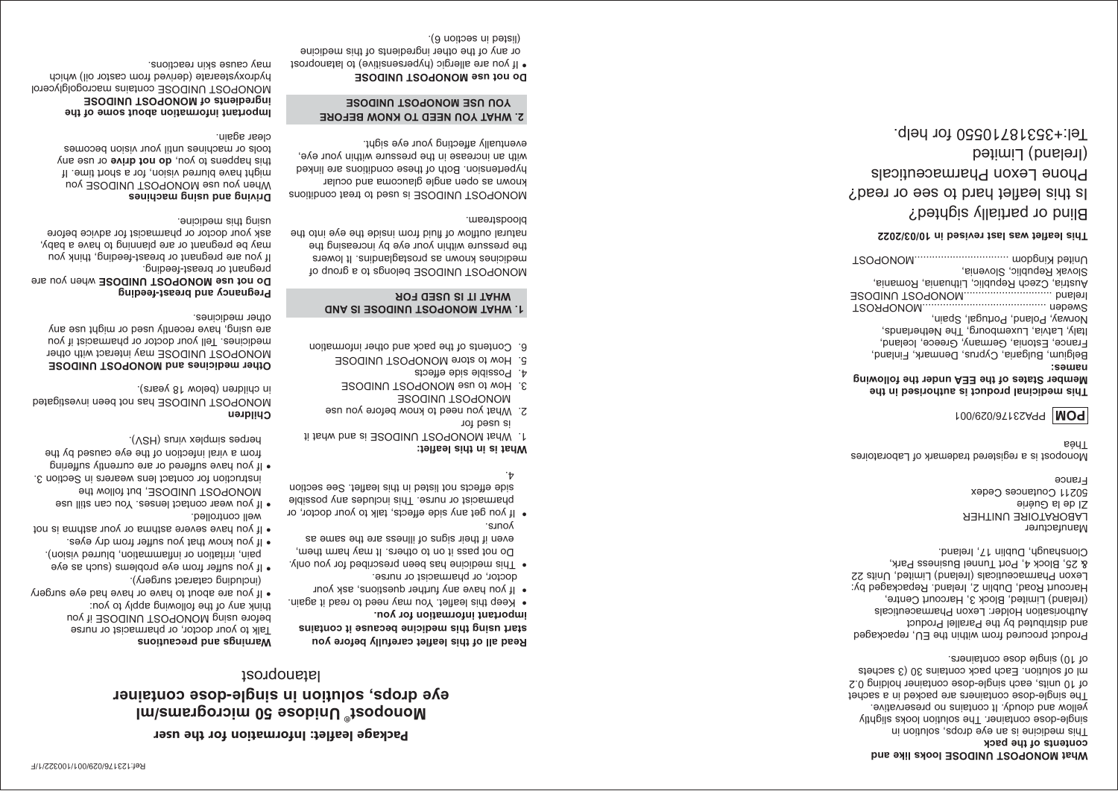### **What MONOPOST UNIDOSE looks like and contents of the pack**

This medicine is an eye drops, solution in single-dose container. The solution looks slightly yellow and cloudy. It contains no preservative. The single-dose containers are packed in a sachet of 10 units, each single-dose container holding 0.2 ml of solution. Each pack contains 30 (3 sachets of 10) single dose containers.

Product procured from within the EU, repackaged and distributed by the Parallel Product Authorisation Holder: Lexon Pharmaceuticals (Ireland) Limited, Block 3, Harcourt Centre, Harcourt Road, Dublin 2, Ireland. Repackaged by: Lexon Pharmaceuticals (Ireland) Limited, Units 22 & 25, Block 4, Port Tunnel Business Park, Clonshaugh, Dublin 17, Ireland.

Manufacturer LABORATOIRE UNITHER ZI de la Guérie 50211 Coutances Cedex France

 Laboratoires registered trademark of Monopost is a Théa

# **POM** PPA23176/029/001

#### **This medicinal product is authorised in the Member States of the EEA under the following names:**

Belgium, Bulgaria, Cyprus, Denmark, Finland, France, Estonia, Germany, Greece, Iceland, Italy, Latvia, Luxembourg, The Netherlands, Norway, Poland, Portugal, Spain, Sweden ..........................................MONOPROST

Ireland ..............................MONOPOST UNIDOSE Austria, Czech Republic, Lithuania, Romania, Slovak Republic, Slovenia, United Kingdom ................................MONOPOST

# **This leaflet was last revised in 10/03/2022**

Blind or partially sighted? Is this leaflet hard to see or read? Phone Lexon Pharmaceuticals (Ireland) Limited Tel:+35318710550 for help.

# **Monopost Unidose 50 micrograms/ml ® eye drops, solution in single-dose container Package leaflet: Information for the user**

**Warnings and precautions**

(including cataract surgery).

herpes simplex virus (HSV).

in children (below 18 years).

**Pregnancy and breast-feeding**

pregnant or breast-feeding.

**Driving and using machines**

may cause skin reactions.

well controlled.

**Children**

other medicines.

euroipeus siut puisu.

clear again.

Talk to your doctor, or pharmacist or nurse before using MONOPOST UNIDOSE if you think any of the following apply to you:

 $\bullet$  If you are about to have or have had eye surgery

If you suffer from eye problems (such as eye pain, irritation or inflammation, blurred vision). If you know that you suffer from dry eyes. • • If you have severe asthma or your asthma is not

 MONOPOST UNIDOSE, but follow the instruction for contact lens wearers in Section 3. • If you have suffered or are currently suffering from a viral infection of the eye caused by the

MONOPOST UNIDOSE has not been investigated

Do not use **MONOPOST UNIDOSE** when you are

If you are pregnant or breast-feeding, think you may be pregnant or are planning to have a baby, ask your doctor or pharmacist for advice before

When you use MONOPOST UNIDOSE you might have blurred vision, for a short time. If ture asn to **exite to you, do not drive** or use any tools or machines until your vision becomes

**Important information about some of the ingredients of MONOPOST UNIDOSE** 

MONOPOST UNIDOSE contains macrogolglycerol hydroxystearate (derived from castor oil) which

**Other medicines and MONOPOST UNIDOSE** MONOPOST UNIDOSE may interact with other medicines. Tell your doctor or pharmacist if you are using, have recently used or might use any

latanoprost

# **Read all of this leaflet carefully before you start using this medicine because it contains**

**important information for you.**  • Keep this leaflet. You may need to read it again.

- If you have any further questions, ask your
- doctor, or pharmacist or nurse. This medicine has been prescribed for you only. • Do not pass it on to others. It may harm them, even if their signs of illness are the same as
- yours. If you get any side effects, talk to your doctor, or • pharmacist or nurse. This includes any possible
- If you wear contact lenses. You can still use side effects not listed in this leaflet. See section  $\cdot$  +

- **What is in this leaflet:** 1. What MONOPOST UNIDOSE is and what it
- is used for 2. What you need to know before you use MONOPOST UNIDOSE
- 3. How to use MONOPOST UNIDOSE
- 4. Possible side effects
- 5. How to store MONOPOST UNIDOSE 6. Contents of the pack and other information

# **1. WHAT MONOPOST UNIDOSE IS AND WHAT IT IS USED FOR**

MONOPOST UNIDOSE belongs to a group of medicines known as prostaglandins. It lowers the pressure within your eye by increasing the natural outflow of fluid from inside the eye into the bloodstream.

MONOPOST UNIDOSE is used to treat conditions known as open angle glaucoma and ocular hypertension. Both of these conditions are linked with an increase in the pressure within your eye, eventually affecting your eye sight.

# **2. WHAT YOU NEED TO KNOW BEFORE YOU USE MONOPOST UNIDOSE**

# **Do not use MONOPOST UNIDOSE** If you are allergic (hypersensitive) to latanoprost •

 or any of the other ingredients of this medicine (listed in section 6).